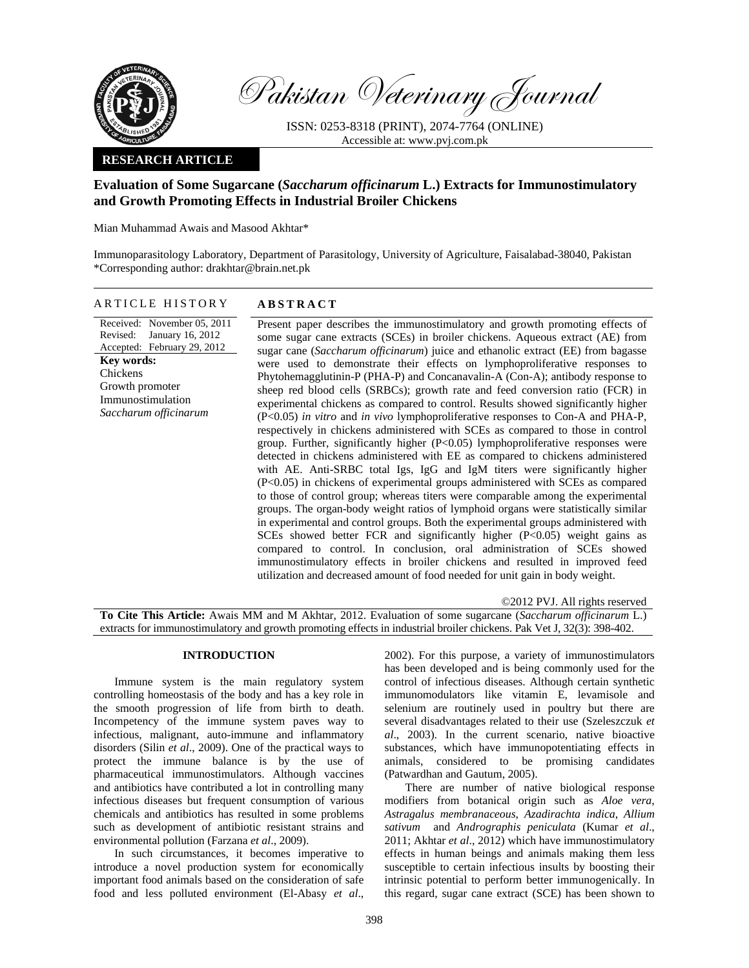

Pakistan Veterinary Journal

ISSN: 0253-8318 (PRINT), 2074-7764 (ONLINE) Accessible at: www.pvj.com.pk

# **RESEARCH ARTICLE**

# **Evaluation of Some Sugarcane (***Saccharum officinarum* **L.) Extracts for Immunostimulatory and Growth Promoting Effects in Industrial Broiler Chickens**

Mian Muhammad Awais and Masood Akhtar\*

Immunoparasitology Laboratory, Department of Parasitology, University of Agriculture, Faisalabad-38040, Pakistan \*Corresponding author: drakhtar@brain.net.pk

# ARTICLE HISTORY **ABSTRACT**

Received: November 05, 2011 Revised: Accepted: February 29, 2012 January 16, 2012 **Key words:**  Chickens Growth promoter Immunostimulation *Saccharum officinarum* 

Present paper describes the immunostimulatory and growth promoting effects of some sugar cane extracts (SCEs) in broiler chickens. Aqueous extract (AE) from sugar cane (*Saccharum officinarum*) juice and ethanolic extract (EE) from bagasse were used to demonstrate their effects on lymphoproliferative responses to Phytohemagglutinin-P (PHA-P) and Concanavalin-A (Con-A); antibody response to sheep red blood cells (SRBCs); growth rate and feed conversion ratio (FCR) in experimental chickens as compared to control. Results showed significantly higher (P<0.05) *in vitro* and *in vivo* lymphoproliferative responses to Con-A and PHA-P, respectively in chickens administered with SCEs as compared to those in control group. Further, significantly higher (P<0.05) lymphoproliferative responses were detected in chickens administered with EE as compared to chickens administered with AE. Anti-SRBC total Igs, IgG and IgM titers were significantly higher (P<0.05) in chickens of experimental groups administered with SCEs as compared to those of control group; whereas titers were comparable among the experimental groups. The organ-body weight ratios of lymphoid organs were statistically similar in experimental and control groups. Both the experimental groups administered with SCEs showed better FCR and significantly higher (P<0.05) weight gains as compared to control. In conclusion, oral administration of SCEs showed immunostimulatory effects in broiler chickens and resulted in improved feed utilization and decreased amount of food needed for unit gain in body weight.

©2012 PVJ. All rights reserved

**To Cite This Article:** Awais MM and M Akhtar, 2012. Evaluation of some sugarcane (*Saccharum officinarum* L.) extracts for immunostimulatory and growth promoting effects in industrial broiler chickens. Pak Vet J, 32(3): 398-402.

# **INTRODUCTION**

Immune system is the main regulatory system controlling homeostasis of the body and has a key role in the smooth progression of life from birth to death. Incompetency of the immune system paves way to infectious, malignant, auto-immune and inflammatory disorders (Silin *et al*., 2009). One of the practical ways to protect the immune balance is by the use of pharmaceutical immunostimulators. Although vaccines and antibiotics have contributed a lot in controlling many infectious diseases but frequent consumption of various chemicals and antibiotics has resulted in some problems such as development of antibiotic resistant strains and environmental pollution (Farzana *et al*., 2009).

In such circumstances, it becomes imperative to introduce a novel production system for economically important food animals based on the consideration of safe food and less polluted environment (El-Abasy *et al*.,

2002). For this purpose, a variety of immunostimulators has been developed and is being commonly used for the control of infectious diseases. Although certain synthetic immunomodulators like vitamin E, levamisole and selenium are routinely used in poultry but there are several disadvantages related to their use (Szeleszczuk *et al*., 2003). In the current scenario, native bioactive substances, which have immunopotentiating effects in animals, considered to be promising candidates (Patwardhan and Gautum, 2005).

There are number of native biological response modifiers from botanical origin such as *Aloe vera*, *Astragalus membranaceous*, *Azadirachta indica*, *Allium sativum* and *Andrographis peniculata* (Kumar *et al*., 2011; Akhtar *et al*., 2012) which have immunostimulatory effects in human beings and animals making them less susceptible to certain infectious insults by boosting their intrinsic potential to perform better immunogenically. In this regard, sugar cane extract (SCE) has been shown to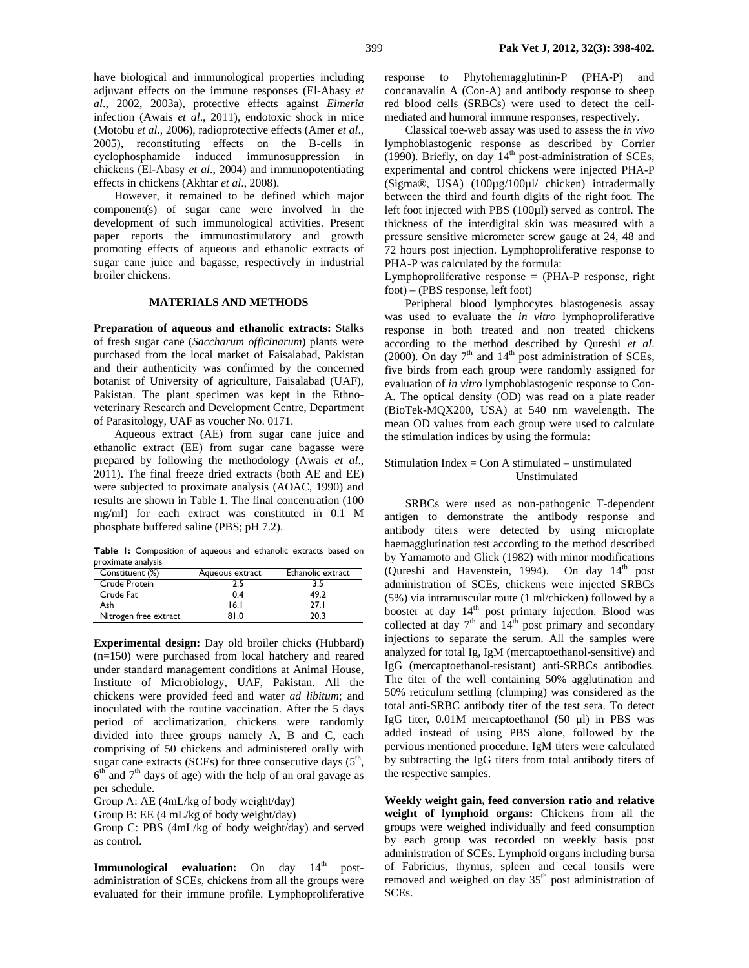have biological and immunological properties including adjuvant effects on the immune responses (El-Abasy *et al*., 2002, 2003a), protective effects against *Eimeria* infection (Awais *et al*., 2011), endotoxic shock in mice (Motobu *et al*., 2006), radioprotective effects (Amer *et al*., 2005), reconstituting effects on the B-cells in cyclophosphamide induced immunosuppression in chickens (El-Abasy *et al*., 2004) and immunopotentiating effects in chickens (Akhtar *et al*., 2008).

However, it remained to be defined which major component(s) of sugar cane were involved in the development of such immunological activities. Present paper reports the immunostimulatory and growth promoting effects of aqueous and ethanolic extracts of sugar cane juice and bagasse, respectively in industrial broiler chickens.

#### **MATERIALS AND METHODS**

**Preparation of aqueous and ethanolic extracts:** Stalks of fresh sugar cane (*Saccharum officinarum*) plants were purchased from the local market of Faisalabad, Pakistan and their authenticity was confirmed by the concerned botanist of University of agriculture, Faisalabad (UAF), Pakistan. The plant specimen was kept in the Ethnoveterinary Research and Development Centre, Department of Parasitology, UAF as voucher No. 0171.

Aqueous extract (AE) from sugar cane juice and ethanolic extract (EE) from sugar cane bagasse were prepared by following the methodology (Awais *et al*., 2011). The final freeze dried extracts (both AE and EE) were subjected to proximate analysis (AOAC, 1990) and results are shown in Table 1. The final concentration (100 mg/ml) for each extract was constituted in 0.1 M phosphate buffered saline (PBS; pH 7.2).

**Table 1:** Composition of aqueous and ethanolic extracts based on proximate analysis

| Constituent (%)       | Aqueous extract | Ethanolic extract |
|-----------------------|-----------------|-------------------|
| Crude Protein         | 2.5             | 3.5               |
| Crude Fat             | 0.4             | 49.2              |
| Ash                   | 16. I           | 27.1              |
| Nitrogen free extract | 81.0            | 20.3              |
|                       |                 |                   |

**Experimental design:** Day old broiler chicks (Hubbard) (n=150) were purchased from local hatchery and reared under standard management conditions at Animal House, Institute of Microbiology, UAF, Pakistan. All the chickens were provided feed and water *ad libitum*; and inoculated with the routine vaccination. After the 5 days period of acclimatization, chickens were randomly divided into three groups namely A, B and C, each comprising of 50 chickens and administered orally with sugar cane extracts (SCEs) for three consecutive days  $(5<sup>th</sup>,$  $6<sup>th</sup>$  and  $7<sup>th</sup>$  days of age) with the help of an oral gavage as per schedule.

Group A: AE (4mL/kg of body weight/day)

Group B: EE (4 mL/kg of body weight/day)

Group C: PBS (4mL/kg of body weight/day) and served as control.

**Immunological evaluation:** On day 14<sup>th</sup> postadministration of SCEs, chickens from all the groups were evaluated for their immune profile. Lymphoproliferative response to Phytohemagglutinin-P (PHA-P) and concanavalin A (Con-A) and antibody response to sheep red blood cells (SRBCs) were used to detect the cellmediated and humoral immune responses, respectively.

Classical toe-web assay was used to assess the *in vivo*  lymphoblastogenic response as described by Corrier (1990). Briefly, on day  $14<sup>th</sup>$  post-administration of SCEs, experimental and control chickens were injected PHA-P (Sigma®, USA) (100µg/100µl/ chicken) intradermally between the third and fourth digits of the right foot. The left foot injected with PBS (100µl) served as control. The thickness of the interdigital skin was measured with a pressure sensitive micrometer screw gauge at 24, 48 and 72 hours post injection. Lymphoproliferative response to PHA-P was calculated by the formula:

Lymphoproliferative response  $=$  (PHA-P response, right foot) – (PBS response, left foot)

Peripheral blood lymphocytes blastogenesis assay was used to evaluate the *in vitro* lymphoproliferative response in both treated and non treated chickens according to the method described by Qureshi *et al*. (2000). On day  $7<sup>th</sup>$  and  $14<sup>th</sup>$  post administration of SCEs, five birds from each group were randomly assigned for evaluation of *in vitro* lymphoblastogenic response to Con-A. The optical density (OD) was read on a plate reader (BioTek-MQX200, USA) at 540 nm wavelength. The mean OD values from each group were used to calculate the stimulation indices by using the formula:

## Stimulation Index =  $Con A$  stimulated – unstimulated Unstimulated

SRBCs were used as non-pathogenic T-dependent antigen to demonstrate the antibody response and antibody titers were detected by using microplate haemagglutination test according to the method described by Yamamoto and Glick (1982) with minor modifications (Qureshi and Havenstein, 1994). On day  $14<sup>th</sup>$  post administration of SCEs, chickens were injected SRBCs (5%) via intramuscular route (1 ml/chicken) followed by a booster at day 14<sup>th</sup> post primary injection. Blood was collected at day  $7<sup>th</sup>$  and  $14<sup>th</sup>$  post primary and secondary injections to separate the serum. All the samples were analyzed for total Ig, IgM (mercaptoethanol-sensitive) and IgG (mercaptoethanol-resistant) anti-SRBCs antibodies. The titer of the well containing 50% agglutination and 50% reticulum settling (clumping) was considered as the total anti-SRBC antibody titer of the test sera. To detect IgG titer, 0.01M mercaptoethanol (50 µl) in PBS was added instead of using PBS alone, followed by the pervious mentioned procedure. IgM titers were calculated by subtracting the IgG titers from total antibody titers of the respective samples.

**Weekly weight gain, feed conversion ratio and relative weight of lymphoid organs:** Chickens from all the groups were weighed individually and feed consumption by each group was recorded on weekly basis post administration of SCEs. Lymphoid organs including bursa of Fabricius, thymus, spleen and cecal tonsils were removed and weighed on day  $35<sup>th</sup>$  post administration of SCEs.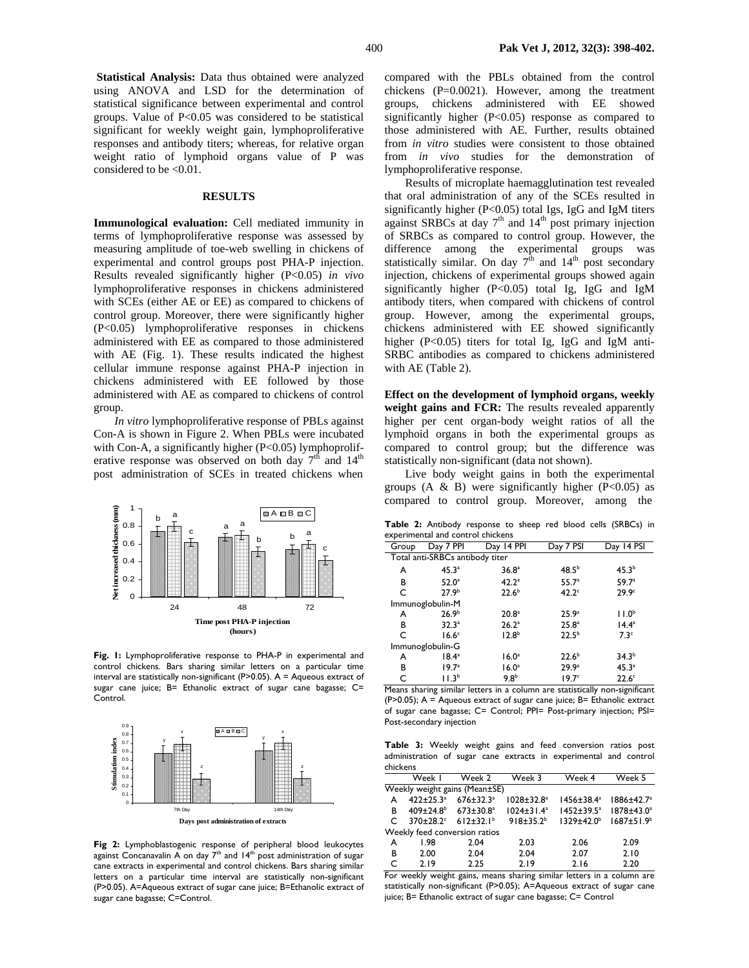**Statistical Analysis:** Data thus obtained were analyzed using ANOVA and LSD for the determination of statistical significance between experimental and control groups. Value of  $P<0.05$  was considered to be statistical significant for weekly weight gain, lymphoproliferative responses and antibody titers; whereas, for relative organ weight ratio of lymphoid organs value of P was considered to be <0.01.

#### **RESULTS**

**Immunological evaluation:** Cell mediated immunity in terms of lymphoproliferative response was assessed by measuring amplitude of toe-web swelling in chickens of experimental and control groups post PHA-P injection. Results revealed significantly higher (P<0.05) *in vivo* lymphoproliferative responses in chickens administered with SCEs (either AE or EE) as compared to chickens of control group. Moreover, there were significantly higher (P<0.05) lymphoproliferative responses in chickens administered with EE as compared to those administered with AE (Fig. 1). These results indicated the highest cellular immune response against PHA-P injection in chickens administered with EE followed by those administered with AE as compared to chickens of control group.

*In vitro* lymphoproliferative response of PBLs against Con-A is shown in Figure 2. When PBLs were incubated with Con-A, a significantly higher  $(P<0.05)$  lymphoproliferative response was observed on both day  $7<sup>th</sup>$  and  $14<sup>th</sup>$ post administration of SCEs in treated chickens when



**Fig. 1:** Lymphoproliferative response to PHA-P in experimental and control chickens. Bars sharing similar letters on a particular time interval are statistically non-significant (P>0.05). A = Aqueous extract of sugar cane juice; B= Ethanolic extract of sugar cane bagasse; C= Control.



**Fig 2:** Lymphoblastogenic response of peripheral blood leukocytes against Concanavalin A on day  $7<sup>th</sup>$  and  $14<sup>th</sup>$  post administration of sugar cane extracts in experimental and control chickens. Bars sharing similar letters on a particular time interval are statistically non-significant (P>0.05). A=Aqueous extract of sugar cane juice; B=Ethanolic extract of sugar cane bagasse; C=Control.

compared with the PBLs obtained from the control chickens  $(P=0.0021)$ . However, among the treatment groups, chickens administered with EE showed significantly higher (P<0.05) response as compared to those administered with AE. Further, results obtained from *in vitro* studies were consistent to those obtained from *in vivo* studies for the demonstration of lymphoproliferative response.

Results of microplate haemagglutination test revealed that oral administration of any of the SCEs resulted in significantly higher (P<0.05) total Igs, IgG and IgM titers against SRBCs at day  $7<sup>th</sup>$  and  $14<sup>th</sup>$  post primary injection of SRBCs as compared to control group. However, the difference among the experimental groups was statistically similar. On day  $7<sup>th</sup>$  and  $14<sup>th</sup>$  post secondary injection, chickens of experimental groups showed again significantly higher (P<0.05) total Ig, IgG and IgM antibody titers, when compared with chickens of control group. However, among the experimental groups, chickens administered with EE showed significantly higher (P<0.05) titers for total Ig, IgG and IgM anti-SRBC antibodies as compared to chickens administered with AE (Table 2).

**Effect on the development of lymphoid organs, weekly**  weight gains and FCR: The results revealed apparently higher per cent organ-body weight ratios of all the lymphoid organs in both the experimental groups as compared to control group; but the difference was statistically non-significant (data not shown).

Live body weight gains in both the experimental groups  $(A \& B)$  were significantly higher  $(P<0.05)$  as compared to control group. Moreover, among the

**Table 2:** Antibody response to sheep red blood cells (SRBCs) in experimental and control chickens

| Group                           | Day 7 PPI         | Day 14 PPI        | Day 7 PSI         | Day 14 PSI        |  |  |  |
|---------------------------------|-------------------|-------------------|-------------------|-------------------|--|--|--|
| Total anti-SRBCs antibody titer |                   |                   |                   |                   |  |  |  |
| A                               | 45.3a             | 36.8 <sup>a</sup> | 48.5 <sup>b</sup> | 45.3 <sup>b</sup> |  |  |  |
| B                               | 52.0 <sup>a</sup> | 42.2 <sup>a</sup> | 55.7 <sup>a</sup> | 59.7a             |  |  |  |
| C                               | 27.9 <sup>b</sup> | $22.6^{b}$        | 42.2 <sup>c</sup> | 29.9 <sup>c</sup> |  |  |  |
| Immunoglobulin-M                |                   |                   |                   |                   |  |  |  |
| A                               | 26.9 <sup>b</sup> | 20.8 <sup>a</sup> | 25.9 <sup>a</sup> | 11.0 <sup>b</sup> |  |  |  |
| в                               | 32.3 <sup>a</sup> | 26.2 <sup>a</sup> | 25.8 <sup>a</sup> | 14.4 <sup>a</sup> |  |  |  |
| C                               | 16.6 <sup>c</sup> | 12.8 <sup>b</sup> | $22.5^{b}$        | 7.3 <sup>c</sup>  |  |  |  |
| Immunoglobulin-G                |                   |                   |                   |                   |  |  |  |
| A                               | 18.4 <sup>a</sup> | 16.0 <sup>a</sup> | 22.6 <sup>b</sup> | 34.3 <sup>b</sup> |  |  |  |
| В                               | $19.7^{\circ}$    | 16.0 <sup>a</sup> | 29.9 <sup>a</sup> | 45.3 <sup>a</sup> |  |  |  |
| Ċ                               | 11.3 <sup>b</sup> | 9.8 <sup>b</sup>  | 19.7 <sup>c</sup> | 22.6 <sup>c</sup> |  |  |  |

Means sharing similar letters in a column are statistically non-significant (P>0.05);  $A = A$ queous extract of sugar cane juice;  $B = E$ thanolic extract of sugar cane bagasse; C= Control; PPI= Post-primary injection; PSI= Post-secondary injection

**Table 3:** Weekly weight gains and feed conversion ratios post administration of sugar cane extracts in experimental and control chickens

|                               | Week I                      | Week 2                                             | Week 3            | Week 4            | Week 5                 |  |
|-------------------------------|-----------------------------|----------------------------------------------------|-------------------|-------------------|------------------------|--|
| Weekly weight gains (Mean±SE) |                             |                                                    |                   |                   |                        |  |
| A                             | $422 \pm 25.3$ <sup>a</sup> | $676 \pm 32.3$ <sup>a</sup>                        | $1028 \pm 32.8^a$ | $1456 \pm 38.4^a$ | $1886 \pm 42.7^a$      |  |
| B                             |                             | $409 \pm 24.8^{\circ}$ 673 $\pm$ 30.8 <sup>a</sup> | $1024 \pm 31.4^a$ | $1452 \pm 39.5^a$ | 1878±43.0 <sup>a</sup> |  |
| C                             | $370 \pm 28.2$ °            | $612 \pm 32.1^b$                                   | $918 \pm 35.2^b$  | $1329 \pm 42.0^b$ | $1687 \pm 51.9^b$      |  |
| Weekly feed conversion ratios |                             |                                                    |                   |                   |                        |  |
| A                             | 1.98                        | 2.04                                               | 2.03              | 2.06              | 2.09                   |  |
| в                             | 2.00                        | 2.04                                               | 2.04              | 2.07              | 2.10                   |  |
| C                             | 2.19                        | 2.25                                               | 2.19              | 2.16              | 2.20                   |  |

For weekly weight gains, means sharing similar letters in a column are statistically non-significant (P>0.05); A=Aqueous extract of sugar cane juice; B= Ethanolic extract of sugar cane bagasse; C= Control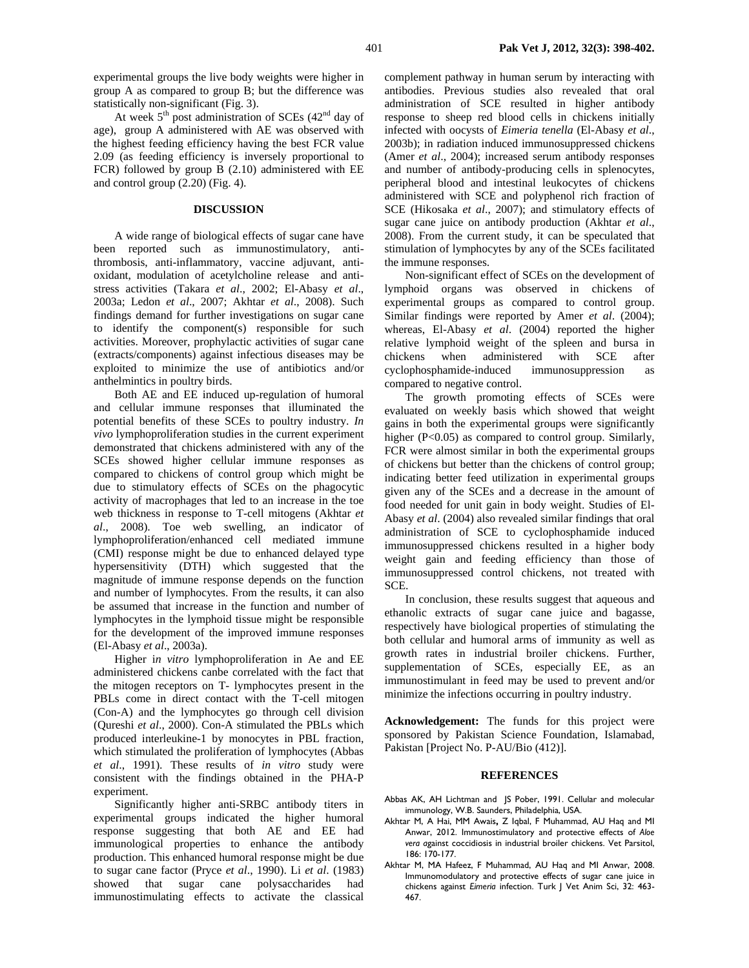experimental groups the live body weights were higher in group A as compared to group B; but the difference was statistically non-significant (Fig. 3).

At week  $5<sup>th</sup>$  post administration of SCEs (42<sup>nd</sup> day of age), group A administered with AE was observed with the highest feeding efficiency having the best FCR value 2.09 (as feeding efficiency is inversely proportional to FCR) followed by group B (2.10) administered with EE and control group (2.20) (Fig. 4).

#### **DISCUSSION**

A wide range of biological effects of sugar cane have been reported such as immunostimulatory, antithrombosis, anti-inflammatory, vaccine adjuvant, antioxidant, modulation of acetylcholine release and antistress activities (Takara *et al*., 2002; El-Abasy *et al*., 2003a; Ledon *et al*., 2007; Akhtar *et al*., 2008). Such findings demand for further investigations on sugar cane to identify the component(s) responsible for such activities. Moreover, prophylactic activities of sugar cane (extracts/components) against infectious diseases may be exploited to minimize the use of antibiotics and/or anthelmintics in poultry birds.

Both AE and EE induced up-regulation of humoral and cellular immune responses that illuminated the potential benefits of these SCEs to poultry industry. *In vivo* lymphoproliferation studies in the current experiment demonstrated that chickens administered with any of the SCEs showed higher cellular immune responses as compared to chickens of control group which might be due to stimulatory effects of SCEs on the phagocytic activity of macrophages that led to an increase in the toe web thickness in response to T-cell mitogens (Akhtar *et al*., 2008). Toe web swelling, an indicator of lymphoproliferation/enhanced cell mediated immune (CMI) response might be due to enhanced delayed type hypersensitivity (DTH) which suggested that the magnitude of immune response depends on the function and number of lymphocytes. From the results, it can also be assumed that increase in the function and number of lymphocytes in the lymphoid tissue might be responsible for the development of the improved immune responses (El-Abasy *et al*., 2003a).

Higher i*n vitro* lymphoproliferation in Ae and EE administered chickens canbe correlated with the fact that the mitogen receptors on T- lymphocytes present in the PBLs come in direct contact with the T-cell mitogen (Con-A) and the lymphocytes go through cell division (Qureshi *et al*., 2000). Con-A stimulated the PBLs which produced interleukine-1 by monocytes in PBL fraction, which stimulated the proliferation of lymphocytes (Abbas *et al*., 1991). These results of *in vitro* study were consistent with the findings obtained in the PHA-P experiment.

Significantly higher anti-SRBC antibody titers in experimental groups indicated the higher humoral response suggesting that both AE and EE had immunological properties to enhance the antibody production. This enhanced humoral response might be due to sugar cane factor (Pryce *et al*., 1990). Li *et al*. (1983) showed that sugar cane polysaccharides had immunostimulating effects to activate the classical

complement pathway in human serum by interacting with antibodies. Previous studies also revealed that oral administration of SCE resulted in higher antibody response to sheep red blood cells in chickens initially infected with oocysts of *Eimeria tenella* (El-Abasy *et al*., 2003b); in radiation induced immunosuppressed chickens (Amer *et al*., 2004); increased serum antibody responses and number of antibody-producing cells in splenocytes, peripheral blood and intestinal leukocytes of chickens administered with SCE and polyphenol rich fraction of SCE (Hikosaka *et al*., 2007); and stimulatory effects of sugar cane juice on antibody production (Akhtar *et al*., 2008). From the current study, it can be speculated that stimulation of lymphocytes by any of the SCEs facilitated the immune responses.

Non-significant effect of SCEs on the development of lymphoid organs was observed in chickens of experimental groups as compared to control group. Similar findings were reported by Amer *et al*. (2004); whereas, El-Abasy *et al*. (2004) reported the higher relative lymphoid weight of the spleen and bursa in chickens when administered with SCE after cyclophosphamide-induced immunosuppression as compared to negative control.

The growth promoting effects of SCEs were evaluated on weekly basis which showed that weight gains in both the experimental groups were significantly higher (P<0.05) as compared to control group. Similarly, FCR were almost similar in both the experimental groups of chickens but better than the chickens of control group; indicating better feed utilization in experimental groups given any of the SCEs and a decrease in the amount of food needed for unit gain in body weight. Studies of El-Abasy *et al*. (2004) also revealed similar findings that oral administration of SCE to cyclophosphamide induced immunosuppressed chickens resulted in a higher body weight gain and feeding efficiency than those of immunosuppressed control chickens, not treated with SCE.

In conclusion, these results suggest that aqueous and ethanolic extracts of sugar cane juice and bagasse, respectively have biological properties of stimulating the both cellular and humoral arms of immunity as well as growth rates in industrial broiler chickens. Further, supplementation of SCEs, especially EE, as an immunostimulant in feed may be used to prevent and/or minimize the infections occurring in poultry industry.

**Acknowledgement:** The funds for this project were sponsored by Pakistan Science Foundation, Islamabad, Pakistan [Project No. P-AU/Bio (412)].

#### **REFERENCES**

- Abbas AK, AH Lichtman and JS Pober, 1991. Cellular and molecular immunology, W.B. Saunders, Philadelphia, USA.
- Akhtar M, A Hai, MM Awais**,** Z Iqbal, F Muhammad, AU Haq and MI Anwar, 2012. Immunostimulatory and protective effects of *Aloe vera a*gainst coccidiosis in industrial broiler chickens. Vet Parsitol, 186: 170-177.
- Akhtar M, MA Hafeez, F Muhammad, AU Haq and MI Anwar, 2008. Immunomodulatory and protective effects of sugar cane juice in chickens against *Eimeria* infection. Turk J Vet Anim Sci, 32: 463- 467.